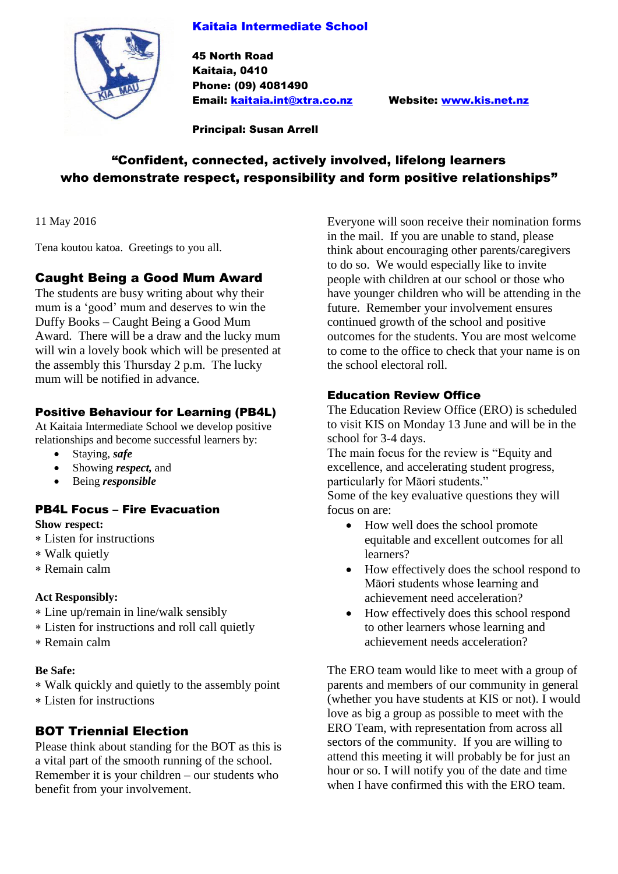#### Kaitaia Intermediate School



45 North Road Kaitaia, 0410 Phone: (09) 4081490 Email: [kaitaia.int@xtra.co.nz](mailto:kaitaia.int@xtra.co.nz) Website: [www.kis.net.nz](http://www.kis.net.nz/)

Principal: Susan Arrell

# "Confident, connected, actively involved, lifelong learners who demonstrate respect, responsibility and form positive relationships"

11 May 2016

Tena koutou katoa. Greetings to you all.

#### Caught Being a Good Mum Award

The students are busy writing about why their mum is a 'good' mum and deserves to win the Duffy Books – Caught Being a Good Mum Award. There will be a draw and the lucky mum will win a lovely book which will be presented at the assembly this Thursday 2 p.m. The lucky mum will be notified in advance.

#### Positive Behaviour for Learning (PB4L)

At Kaitaia Intermediate School we develop positive relationships and become successful learners by:

- Staying, *safe*
- Showing *respect,* and
- Being *responsible*

#### PB4L Focus – Fire Evacuation **Show respect:**

- Listen for instructions
- Walk quietly
- Remain calm

#### **Act Responsibly:**

- Line up/remain in line/walk sensibly
- Listen for instructions and roll call quietly
- Remain calm

#### **Be Safe:**

- Walk quickly and quietly to the assembly point
- Listen for instructions

## BOT Triennial Election

Please think about standing for the BOT as this is a vital part of the smooth running of the school. Remember it is your children – our students who benefit from your involvement.

Everyone will soon receive their nomination forms in the mail. If you are unable to stand, please think about encouraging other parents/caregivers to do so. We would especially like to invite people with children at our school or those who have younger children who will be attending in the future. Remember your involvement ensures continued growth of the school and positive outcomes for the students. You are most welcome to come to the office to check that your name is on the school electoral roll.

#### Education Review Office

The Education Review Office (ERO) is scheduled to visit KIS on Monday 13 June and will be in the school for 3-4 days.

The main focus for the review is "Equity and excellence, and accelerating student progress, particularly for Māori students."

Some of the key evaluative questions they will focus on are:

- How well does the school promote equitable and excellent outcomes for all learners?
- How effectively does the school respond to Māori students whose learning and achievement need acceleration?
- How effectively does this school respond to other learners whose learning and achievement needs acceleration?

The ERO team would like to meet with a group of parents and members of our community in general (whether you have students at KIS or not). I would love as big a group as possible to meet with the ERO Team, with representation from across all sectors of the community. If you are willing to attend this meeting it will probably be for just an hour or so. I will notify you of the date and time when I have confirmed this with the ERO team.